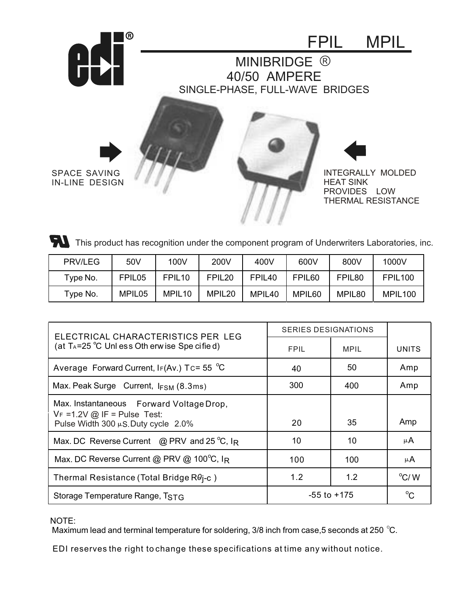

This product has recognition under the component program of Underwriters Laboratories, inc.

| <b>PRV/LEG</b> | 50V                | 100V               | 200V               | 400V               | 600V               | 800V               | 1000V               |
|----------------|--------------------|--------------------|--------------------|--------------------|--------------------|--------------------|---------------------|
| Type No.       | FPIL05             | FPIL <sub>10</sub> | FPIL <sub>20</sub> | FPIL <sub>40</sub> | FPIL <sub>60</sub> | FPIL80             | <b>FPIL100</b>      |
| Type No.       | MPIL <sub>05</sub> | MPIL <sub>10</sub> | MPIL <sub>20</sub> | MPIL <sub>40</sub> | MPIL <sub>60</sub> | MPIL <sub>80</sub> | MPIL <sub>100</sub> |

| ELECTRICAL CHARACTERISTICS PER LEG                                          | <b>SERIES DESIGNATIONS</b> |             |               |
|-----------------------------------------------------------------------------|----------------------------|-------------|---------------|
| (at TA=25 $^{\circ}$ C Unless Oth erwise Spe cified)                        | <b>FPIL</b>                | <b>MPIL</b> | <b>UNITS</b>  |
| Average Forward Current, $I_F(Av.)$ Tc= 55 °C                               | 40                         | 50          | Amp           |
| Max. Peak Surge Current, $I_{FSM}$ (8.3ms)                                  | 300                        | 400         | Amp           |
| Max. Instantaneous Forward Voltage Drop,<br>$V_F = 1.2V$ @ IF = Pulse Test: |                            |             |               |
| Pulse Width 300 $\mu$ S. Duty cycle 2.0%                                    | 20                         | 35          | Amp           |
| Max. DC Reverse Current @ PRV and 25 $^{\circ}$ C, IR                       | 10                         | 10          | μA            |
| Max. DC Reverse Current @ PRV @ 100 $^{\circ}$ C, IR                        | 100                        | 100         | μ $A$         |
| Thermal Resistance (Total Bridge $R\theta$ j-c)                             | 1.2                        | 1.2         | $\rm ^{o}C/M$ |
| Storage Temperature Range, TSTG                                             | $-55$ to $+175$            |             | $^{\circ}$ C  |

NOTE:

Maximum lead and terminal temperature for soldering,  $3/8$  inch from case, 5 seconds at 250 °C.

EDI reserves the right to change these specifications at time any without notice.